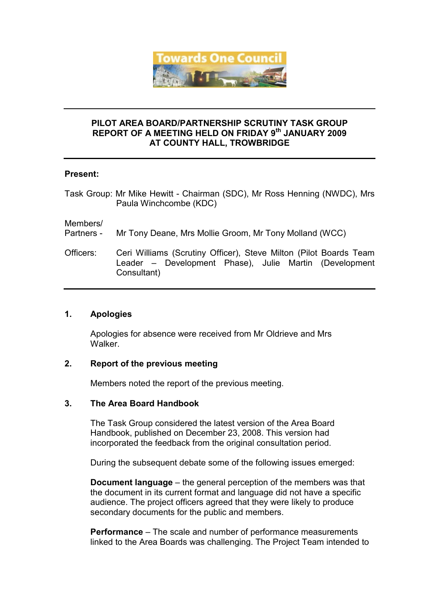

### PILOT AREA BOARD/PARTNERSHIP SCRUTINY TASK GROUP REPORT OF A MEETING HELD ON FRIDAY 9th JANUARY 2009 AT COUNTY HALL, TROWBRIDGE

### Present:

Task Group: Mr Mike Hewitt - Chairman (SDC), Mr Ross Henning (NWDC), Mrs Paula Winchcombe (KDC)

Members/

- Partners Mr Tony Deane, Mrs Mollie Groom, Mr Tony Molland (WCC)
- Officers: Ceri Williams (Scrutiny Officer), Steve Milton (Pilot Boards Team Leader – Development Phase), Julie Martin (Development Consultant)

## 1. Apologies

Apologies for absence were received from Mr Oldrieve and Mrs **Walker** 

## 2. Report of the previous meeting

Members noted the report of the previous meeting.

#### 3. The Area Board Handbook

The Task Group considered the latest version of the Area Board Handbook, published on December 23, 2008. This version had incorporated the feedback from the original consultation period.

During the subsequent debate some of the following issues emerged:

Document language – the general perception of the members was that the document in its current format and language did not have a specific audience. The project officers agreed that they were likely to produce secondary documents for the public and members.

Performance – The scale and number of performance measurements linked to the Area Boards was challenging. The Project Team intended to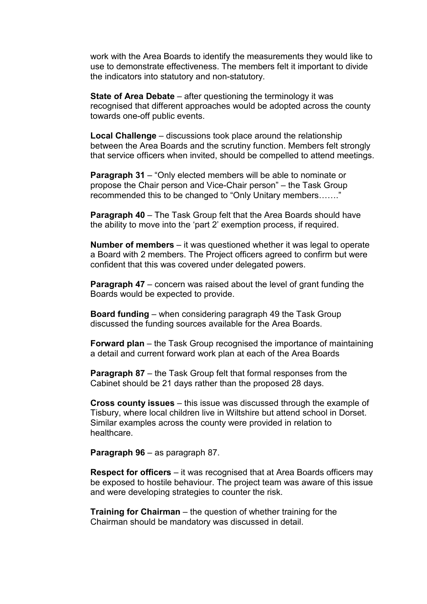work with the Area Boards to identify the measurements they would like to use to demonstrate effectiveness. The members felt it important to divide the indicators into statutory and non-statutory.

State of Area Debate – after questioning the terminology it was recognised that different approaches would be adopted across the county towards one-off public events.

Local Challenge – discussions took place around the relationship between the Area Boards and the scrutiny function. Members felt strongly that service officers when invited, should be compelled to attend meetings.

**Paragraph 31** – "Only elected members will be able to nominate or propose the Chair person and Vice-Chair person" – the Task Group recommended this to be changed to "Only Unitary members……."

**Paragraph 40** – The Task Group felt that the Area Boards should have the ability to move into the 'part 2' exemption process, if required.

Number of members – it was questioned whether it was legal to operate a Board with 2 members. The Project officers agreed to confirm but were confident that this was covered under delegated powers.

**Paragraph 47** – concern was raised about the level of grant funding the Boards would be expected to provide.

Board funding – when considering paragraph 49 the Task Group discussed the funding sources available for the Area Boards.

Forward plan – the Task Group recognised the importance of maintaining a detail and current forward work plan at each of the Area Boards

Paragraph 87 – the Task Group felt that formal responses from the Cabinet should be 21 days rather than the proposed 28 days.

Cross county issues – this issue was discussed through the example of Tisbury, where local children live in Wiltshire but attend school in Dorset. Similar examples across the county were provided in relation to healthcare.

Paragraph 96 – as paragraph 87.

Respect for officers – it was recognised that at Area Boards officers may be exposed to hostile behaviour. The project team was aware of this issue and were developing strategies to counter the risk.

Training for Chairman – the question of whether training for the Chairman should be mandatory was discussed in detail.